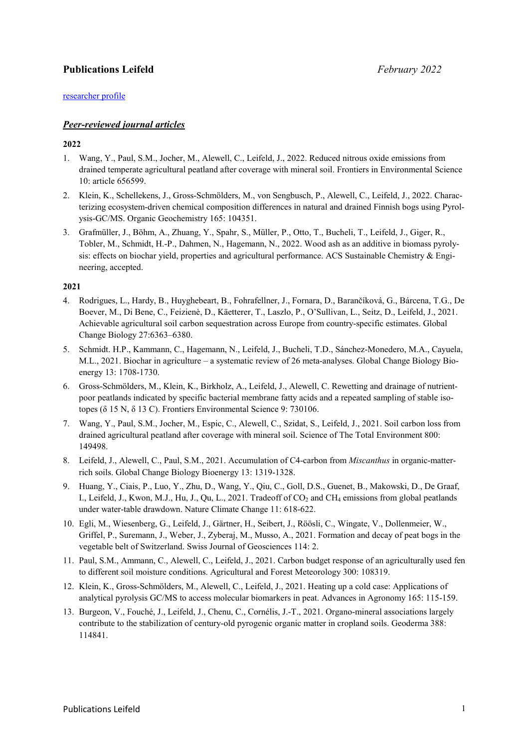# **Publications Leifeld** *February 2022*

## [researcher profile](https://publons.com/researcher/2573315/jens-leifeld/)

# *Peer-reviewed journal articles*

# **2022**

- 1. Wang, Y., Paul, S.M., Jocher, M., Alewell, C., Leifeld, J., 2022. Reduced nitrous oxide emissions from drained temperate agricultural peatland after coverage with mineral soil. Frontiers in Environmental Science 10: article 656599.
- 2. Klein, K., Schellekens, J., Gross-Schmölders, M., von Sengbusch, P., Alewell, C., Leifeld, J., 2022. Characterizing ecosystem-driven chemical composition differences in natural and drained Finnish bogs using Pyrolysis-GC/MS. Organic Geochemistry 165: 104351.
- 3. Grafmüller, J., Böhm, A., Zhuang, Y., Spahr, S., Müller, P., Otto, T., Bucheli, T., Leifeld, J., Giger, R., Tobler, M., Schmidt, H.-P., Dahmen, N., Hagemann, N., 2022. Wood ash as an additive in biomass pyrolysis: effects on biochar yield, properties and agricultural performance. ACS Sustainable Chemistry & Engineering, accepted.

- 4. Rodrigues, L., Hardy, B., Huyghebeart, B., Fohrafellner, J., Fornara, D., Barančíková, G., Bárcena, T.G., De Boever, M., Di Bene, C., Feizienė, D., Käetterer, T., Laszlo, P., O'Sullivan, L., Seitz, D., Leifeld, J., 2021. Achievable agricultural soil carbon sequestration across Europe from country-specific estimates. Global Change Biology 27:6363–6380.
- 5. Schmidt. H.P., Kammann, C., Hagemann, N., Leifeld, J., Bucheli, T.D., Sánchez-Monedero, M.A., Cayuela, M.L., 2021. Biochar in agriculture – a systematic review of 26 meta-analyses. Global Change Biology Bioenergy 13: 1708-1730.
- 6. Gross-Schmölders, M., Klein, K., Birkholz, A., Leifeld, J., Alewell, C. Rewetting and drainage of nutrientpoor peatlands indicated by specific bacterial membrane fatty acids and a repeated sampling of stable isotopes (δ 15 N, δ 13 C). Frontiers Environmental Science 9: 730106.
- 7. Wang, Y., Paul, S.M., Jocher, M., Espic, C., Alewell, C., Szidat, S., Leifeld, J., 2021. Soil carbon loss from drained agricultural peatland after coverage with mineral soil. Science of The Total Environment 800: 149498.
- 8. Leifeld, J., Alewell, C., Paul, S.M., 2021. Accumulation of C4-carbon from *Miscanthus* in organic-matterrich soils. Global Change Biology Bioenergy 13: 1319-1328.
- 9. Huang, Y., Ciais, P., Luo, Y., Zhu, D., Wang, Y., Qiu, C., Goll, D.S., Guenet, B., Makowski, D., De Graaf, I., Leifeld, J., Kwon, M.J., Hu, J., Qu, L., 2021. Tradeoff of CO<sub>2</sub> and CH<sub>4</sub> emissions from global peatlands under water-table drawdown. Nature Climate Change 11: 618-622.
- 10. Egli, M., Wiesenberg, G., Leifeld, J., Gärtner, H., Seibert, J., Röösli, C., Wingate, V., Dollenmeier, W., Griffel, P., Suremann, J., Weber, J., Zyberaj, M., Musso, A., 2021. Formation and decay of peat bogs in the vegetable belt of Switzerland. Swiss Journal of Geosciences 114: 2.
- 11. Paul, S.M., Ammann, C., Alewell, C., Leifeld, J., 2021. Carbon budget response of an agriculturally used fen to different soil moisture conditions. Agricultural and Forest Meteorology 300: 108319.
- 12. Klein, K., Gross-Schmölders, M., Alewell, C., Leifeld, J., 2021. Heating up a cold case: Applications of analytical pyrolysis GC/MS to access molecular biomarkers in peat. Advances in Agronomy 165: 115-159.
- 13. Burgeon, V., Fouché, J., Leifeld, J., Chenu, C., Cornélis, J.-T., 2021. Organo-mineral associations largely contribute to the stabilization of century-old pyrogenic organic matter in cropland soils. Geoderma 388: 114841.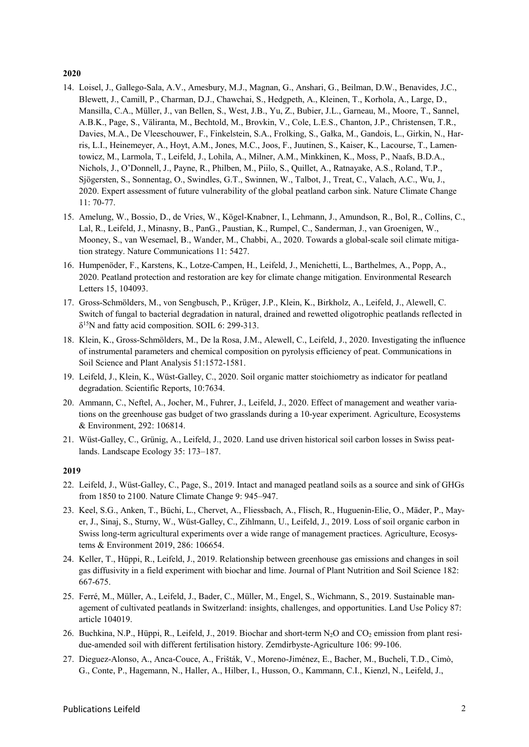#### **2020**

- 14. Loisel, J., Gallego-Sala, A.V., Amesbury, M.J., Magnan, G., Anshari, G., Beilman, D.W., Benavides, J.C., Blewett, J., Camill, P., Charman, D.J., Chawchai, S., Hedgpeth, A., Kleinen, T., Korhola, A., Large, D., Mansilla, C.A., Müller, J., van Bellen, S., West, J.B., Yu, Z., Bubier, J.L., Garneau, M., Moore, T., Sannel, A.B.K., Page, S., Väliranta, M., Bechtold, M., Brovkin, V., Cole, L.E.S., Chanton, J.P., Christensen, T.R., Davies, M.A., De Vleeschouwer, F., Finkelstein, S.A., Frolking, S., Gałka, M., Gandois, L., Girkin, N., Harris, L.I., Heinemeyer, A., Hoyt, A.M., Jones, M.C., Joos, F., Juutinen, S., Kaiser, K., Lacourse, T., Lamentowicz, M., Larmola, T., Leifeld, J., Lohila, A., Milner, A.M., Minkkinen, K., Moss, P., Naafs, B.D.A., Nichols, J., O'Donnell, J., Payne, R., Philben, M., Piilo, S., Quillet, A., Ratnayake, A.S., Roland, T.P., Sjögersten, S., Sonnentag, O., Swindles, G.T., Swinnen, W., Talbot, J., Treat, C., Valach, A.C., Wu, J., 2020. Expert assessment of future vulnerability of the global peatland carbon sink. Nature Climate Change 11: 70-77.
- 15. Amelung, W., Bossio, D., de Vries, W., Kögel-Knabner, I., Lehmann, J., Amundson, R., Bol, R., Collins, C., Lal, R., Leifeld, J., Minasny, B., PanG., Paustian, K., Rumpel, C., Sanderman, J., van Groenigen, W., Mooney, S., van Wesemael, B., Wander, M., Chabbi, A., 2020. Towards a global-scale soil climate mitigation strategy. Nature Communications 11: 5427.
- 16. Humpenöder, F., Karstens, K., Lotze-Campen, H., Leifeld, J., Menichetti, L., Barthelmes, A., Popp, A., 2020. Peatland protection and restoration are key for climate change mitigation. Environmental Research Letters 15, 104093.
- 17. Gross-Schmölders, M., von Sengbusch, P., Krüger, J.P., Klein, K., Birkholz, A., Leifeld, J., Alewell, C. Switch of fungal to bacterial degradation in natural, drained and rewetted oligotrophic peatlands reflected in  $\delta^{15}$ N and fatty acid composition. SOIL 6: 299-313.
- 18. Klein, K., Gross-Schmölders, M., De la Rosa, J.M., Alewell, C., Leifeld, J., 2020. Investigating the influence of instrumental parameters and chemical composition on pyrolysis efficiency of peat. Communications in Soil Science and Plant Analysis 51:1572-1581.
- 19. Leifeld, J., Klein, K., Wüst-Galley, C., 2020. Soil organic matter stoichiometry as indicator for peatland degradation. Scientific Reports, 10:7634.
- 20. Ammann, C., Neftel, A., Jocher, M., Fuhrer, J., Leifeld, J., 2020. Effect of management and weather variations on the greenhouse gas budget of two grasslands during a 10-year experiment. Agriculture, Ecosystems & Environment, 292: 106814.
- 21. Wüst-Galley, C., Grünig, A., Leifeld, J., 2020. Land use driven historical soil carbon losses in Swiss peatlands. Landscape Ecology 35: 173–187.

- 22. Leifeld, J., Wüst-Galley, C., Page, S., 2019. Intact and managed peatland soils as a source and sink of GHGs from 1850 to 2100. Nature Climate Change 9: 945–947.
- 23. Keel, S.G., Anken, T., Büchi, L., Chervet, A., Fliessbach, A., Flisch, R., Huguenin-Elie, O., Mäder, P., Mayer, J., Sinaj, S., Sturny, W., Wüst-Galley, C., Zihlmann, U., Leifeld, J., 2019. Loss of soil organic carbon in Swiss long-term agricultural experiments over a wide range of management practices. Agriculture, Ecosystems & Environment 2019, 286: 106654.
- 24. Keller, T., Hüppi, R., Leifeld, J., 2019. Relationship between greenhouse gas emissions and changes in soil gas diffusivity in a field experiment with biochar and lime. Journal of Plant Nutrition and Soil Science 182: 667-675.
- 25. Ferré, M., Müller, A., Leifeld, J., Bader, C., Müller, M., Engel, S., Wichmann, S., 2019. Sustainable management of cultivated peatlands in Switzerland: insights, challenges, and opportunities. Land Use Policy 87: article 104019.
- 26. Buchkina, N.P., Hüppi, R., Leifeld, J., 2019. Biochar and short-term N<sub>2</sub>O and CO<sub>2</sub> emission from plant residue-amended soil with different fertilisation history. Zemdirbyste-Agriculture 106: 99-106.
- 27. Dieguez-Alonso, A., Anca-Couce, A., Frišták, V., Moreno-Jiménez, E., Bacher, M., Bucheli, T.D., Cimò, G., Conte, P., Hagemann, N., Haller, A., Hilber, I., Husson, O., Kammann, C.I., Kienzl, N., Leifeld, J.,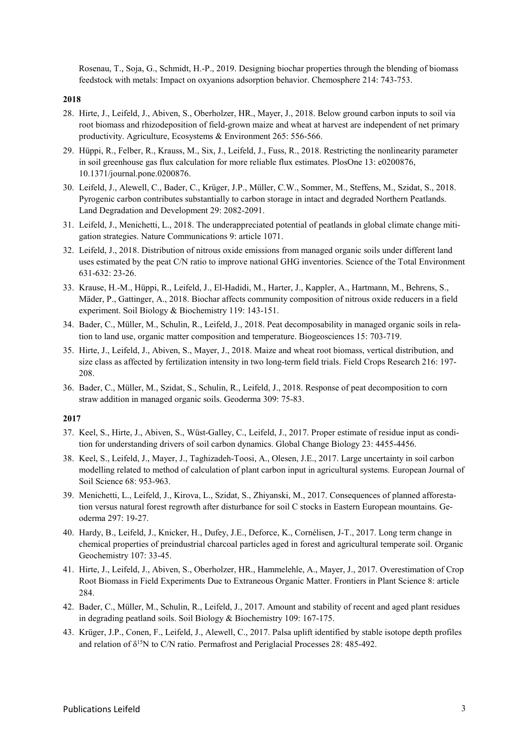Rosenau, T., Soja, G., Schmidt, H.-P., 2019. Designing biochar properties through the blending of biomass feedstock with metals: Impact on oxyanions adsorption behavior. Chemosphere 214: 743-753.

#### **2018**

- 28. Hirte, J., Leifeld, J., Abiven, S., Oberholzer, HR., Mayer, J., 2018. Below ground carbon inputs to soil via root biomass and rhizodeposition of field-grown maize and wheat at harvest are independent of net primary productivity. Agriculture, Ecosystems & Environment 265: 556-566.
- 29. Hüppi, R., Felber, R., Krauss, M., Six, J., Leifeld, J., Fuss, R., 2018. Restricting the nonlinearity parameter in soil greenhouse gas flux calculation for more reliable flux estimates. PlosOne 13: e0200876, 10.1371/journal.pone.0200876.
- 30. Leifeld, J., Alewell, C., Bader, C., Krüger, J.P., Müller, C.W., Sommer, M., Steffens, M., Szidat, S., 2018. Pyrogenic carbon contributes substantially to carbon storage in intact and degraded Northern Peatlands. Land Degradation and Development 29: 2082-2091.
- 31. Leifeld, J., Menichetti, L., 2018. The underappreciated potential of peatlands in global climate change mitigation strategies. Nature Communications 9: article 1071.
- 32. Leifeld, J., 2018. Distribution of nitrous oxide emissions from managed organic soils under different land uses estimated by the peat C/N ratio to improve national GHG inventories. Science of the Total Environment 631-632: 23-26.
- 33. Krause, H.-M., Hüppi, R., Leifeld, J., El-Hadidi, M., Harter, J., Kappler, A., Hartmann, M., Behrens, S., Mäder, P., Gattinger, A., 2018. Biochar affects community composition of nitrous oxide reducers in a field experiment. Soil Biology & Biochemistry 119: 143-151.
- 34. Bader, C., Müller, M., Schulin, R., Leifeld, J., 2018. Peat decomposability in managed organic soils in relation to land use, organic matter composition and temperature. Biogeosciences 15: 703-719.
- 35. Hirte, J., Leifeld, J., Abiven, S., Mayer, J., 2018. Maize and wheat root biomass, vertical distribution, and size class as affected by fertilization intensity in two long-term field trials. Field Crops Research 216: 197- 208.
- 36. Bader, C., Müller, M., Szidat, S., Schulin, R., Leifeld, J., 2018. Response of peat decomposition to corn straw addition in managed organic soils. Geoderma 309: 75-83.

- 37. Keel, S., Hirte, J., Abiven, S., Wüst-Galley, C., Leifeld, J., 2017. Proper estimate of residue input as condition for understanding drivers of soil carbon dynamics. Global Change Biology 23: 4455-4456.
- 38. Keel, S., Leifeld, J., Mayer, J., Taghizadeh-Toosi, A., Olesen, J.E., 2017. Large uncertainty in soil carbon modelling related to method of calculation of plant carbon input in agricultural systems. European Journal of Soil Science 68: 953-963.
- 39. Menichetti, L., Leifeld, J., Kirova, L., Szidat, S., Zhiyanski, M., 2017. Consequences of planned afforestation versus natural forest regrowth after disturbance for soil C stocks in Eastern European mountains. Geoderma 297: 19-27.
- 40. Hardy, B., Leifeld, J., Knicker, H., Dufey, J.E., Deforce, K., Cornélisen, J-T., 2017. Long term change in chemical properties of preindustrial charcoal particles aged in forest and agricultural temperate soil. Organic Geochemistry 107: 33-45.
- 41. Hirte, J., Leifeld, J., Abiven, S., Oberholzer, HR., Hammelehle, A., Mayer, J., 2017. Overestimation of Crop Root Biomass in Field Experiments Due to Extraneous Organic Matter. Frontiers in Plant Science 8: article 284.
- 42. Bader, C., Müller, M., Schulin, R., Leifeld, J., 2017. Amount and stability of recent and aged plant residues in degrading peatland soils. Soil Biology & Biochemistry 109: 167-175.
- 43. Krüger, J.P., Conen, F., Leifeld, J., Alewell, C., 2017. Palsa uplift identified by stable isotope depth profiles and relation of  $\delta^{15}N$  to C/N ratio. Permafrost and Periglacial Processes 28: 485-492.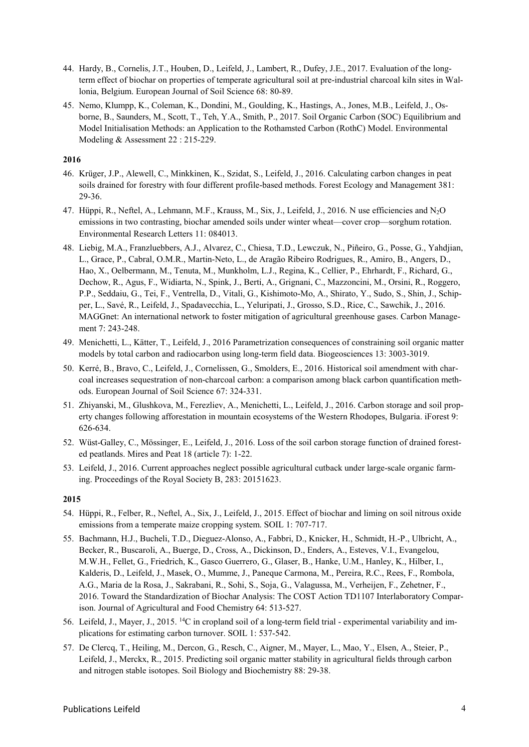- 44. Hardy, B., Cornelis, J.T., Houben, D., Leifeld, J., Lambert, R., Dufey, J.E., 2017. Evaluation of the longterm effect of biochar on properties of temperate agricultural soil at pre-industrial charcoal kiln sites in Wallonia, Belgium. European Journal of Soil Science 68: 80-89.
- 45. Nemo, Klumpp, K., Coleman, K., Dondini, M., Goulding, K., Hastings, A., Jones, M.B., Leifeld, J., Osborne, B., Saunders, M., Scott, T., Teh, Y.A., Smith, P., 2017. Soil Organic Carbon (SOC) Equilibrium and Model Initialisation Methods: an Application to the Rothamsted Carbon (RothC) Model. Environmental Modeling & Assessment 22 : 215-229.

# **2016**

- 46. Krüger, J.P., Alewell, C., Minkkinen, K., Szidat, S., Leifeld, J., 2016. Calculating carbon changes in peat soils drained for forestry with four different profile-based methods. Forest Ecology and Management 381: 29-36.
- 47. Hüppi, R., Neftel, A., Lehmann, M.F., Krauss, M., Six, J., Leifeld, J., 2016. N use efficiencies and N2O emissions in two contrasting, biochar amended soils under winter wheat—cover crop—sorghum rotation. Environmental Research Letters 11: 084013.
- 48. Liebig, M.A., Franzluebbers, A.J., Alvarez, C., Chiesa, T.D., Lewczuk, N., Piñeiro, G., Posse, G., Yahdjian, L., Grace, P., Cabral, O.M.R., Martin-Neto, L., de Aragão Ribeiro Rodrigues, R., Amiro, B., Angers, D., Hao, X., Oelbermann, M., Tenuta, M., Munkholm, L.J., Regina, K., Cellier, P., Ehrhardt, F., Richard, G., Dechow, R., Agus, F., Widiarta, N., Spink, J., Berti, A., Grignani, C., Mazzoncini, M., Orsini, R., Roggero, P.P., Seddaiu, G., Tei, F., Ventrella, D., Vitali, G., Kishimoto-Mo, A., Shirato, Y., Sudo, S., Shin, J., Schipper, L., Savé, R., Leifeld, J., Spadavecchia, L., Yeluripati, J., Grosso, S.D., Rice, C., Sawchik, J., 2016. MAGGnet: An international network to foster mitigation of agricultural greenhouse gases. Carbon Management 7: 243-248.
- 49. Menichetti, L., Kätter, T., Leifeld, J., 2016 Parametrization consequences of constraining soil organic matter models by total carbon and radiocarbon using long-term field data. Biogeosciences 13: 3003-3019.
- 50. Kerré, B., Bravo, C., Leifeld, J., Cornelissen, G., Smolders, E., 2016. Historical soil amendment with charcoal increases sequestration of non-charcoal carbon: a comparison among black carbon quantification methods. European Journal of Soil Science 67: 324-331.
- 51. Zhiyanski, M., Glushkova, M., Ferezliev, A., Menichetti, L., Leifeld, J., 2016. Carbon storage and soil property changes following afforestation in mountain ecosystems of the Western Rhodopes, Bulgaria. iForest 9: 626-634.
- 52. Wüst-Galley, C., Mössinger, E., Leifeld, J., 2016. Loss of the soil carbon storage function of drained forested peatlands. Mires and Peat 18 (article 7): 1-22.
- 53. Leifeld, J., 2016. Current approaches neglect possible agricultural cutback under large-scale organic farming. Proceedings of the Royal Society B, 283: 20151623.

- 54. Hüppi, R., Felber, R., Neftel, A., Six, J., Leifeld, J., 2015. Effect of biochar and liming on soil nitrous oxide emissions from a temperate maize cropping system. SOIL 1: 707-717.
- 55. Bachmann, H.J., Bucheli, T.D., Dieguez-Alonso, A., Fabbri, D., Knicker, H., Schmidt, H.-P., Ulbricht, A., Becker, R., Buscaroli, A., Buerge, D., Cross, A., Dickinson, D., Enders, A., Esteves, V.I., Evangelou, M.W.H., Fellet, G., Friedrich, K., Gasco Guerrero, G., Glaser, B., Hanke, U.M., Hanley, K., Hilber, I., Kalderis, D., Leifeld, J., Masek, O., Mumme, J., Paneque Carmona, M., Pereira, R.C., Rees, F., Rombola, A.G., Maria de la Rosa, J., Sakrabani, R., Sohi, S., Soja, G., Valagussa, M., Verheijen, F., Zehetner, F., 2016. Toward the Standardization of Biochar Analysis: The COST Action TD1107 Interlaboratory Comparison. Journal of Agricultural and Food Chemistry 64: 513-527.
- 56. Leifeld, J., Mayer, J., 2015. 14C in cropland soil of a long-term field trial experimental variability and implications for estimating carbon turnover. SOIL 1: 537-542.
- 57. De Clercq, T., Heiling, M., Dercon, G., Resch, C., Aigner, M., Mayer, L., Mao, Y., Elsen, A., Steier, P., Leifeld, J., Merckx, R., 2015. Predicting soil organic matter stability in agricultural fields through carbon and nitrogen stable isotopes. Soil Biology and Biochemistry 88: 29-38.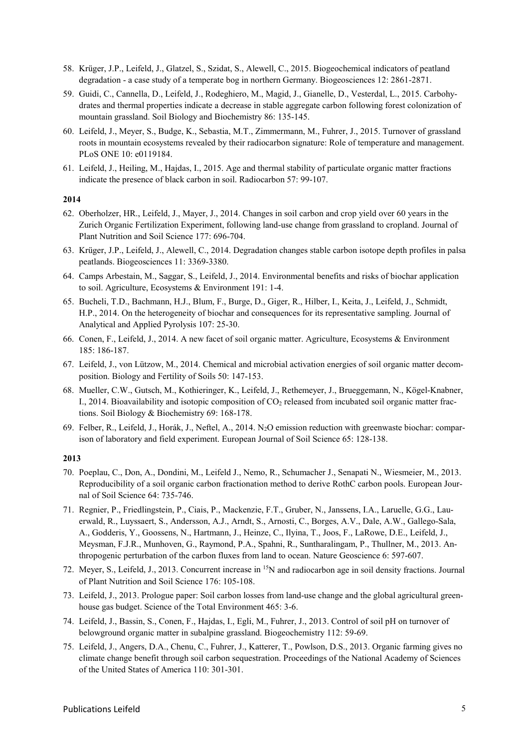- 58. Krüger, J.P., Leifeld, J., Glatzel, S., Szidat, S., Alewell, C., 2015. Biogeochemical indicators of peatland degradation - a case study of a temperate bog in northern Germany. Biogeosciences 12: 2861-2871.
- 59. Guidi, C., Cannella, D., Leifeld, J., Rodeghiero, M., Magid, J., Gianelle, D., Vesterdal, L., 2015. Carbohydrates and thermal properties indicate a decrease in stable aggregate carbon following forest colonization of mountain grassland. Soil Biology and Biochemistry 86: 135-145.
- 60. Leifeld, J., Meyer, S., Budge, K., Sebastia, M.T., Zimmermann, M., Fuhrer, J., 2015. Turnover of grassland roots in mountain ecosystems revealed by their radiocarbon signature: Role of temperature and management. PLoS ONE 10: e0119184.
- 61. Leifeld, J., Heiling, M., Hajdas, I., 2015. Age and thermal stability of particulate organic matter fractions indicate the presence of black carbon in soil. Radiocarbon 57: 99-107.

### **2014**

- 62. Oberholzer, HR., Leifeld, J., Mayer, J., 2014. Changes in soil carbon and crop yield over 60 years in the Zurich Organic Fertilization Experiment, following land-use change from grassland to cropland. Journal of Plant Nutrition and Soil Science 177: 696-704.
- 63. Krüger, J.P., Leifeld, J., Alewell, C., 2014. Degradation changes stable carbon isotope depth profiles in palsa peatlands. Biogeosciences 11: 3369-3380.
- 64. Camps Arbestain, M., Saggar, S., Leifeld, J., 2014. Environmental benefits and risks of biochar application to soil. Agriculture, Ecosystems & Environment 191: 1-4.
- 65. Bucheli, T.D., Bachmann, H.J., Blum, F., Burge, D., Giger, R., Hilber, I., Keita, J., Leifeld, J., Schmidt, H.P., 2014. On the heterogeneity of biochar and consequences for its representative sampling. Journal of Analytical and Applied Pyrolysis 107: 25-30.
- 66. Conen, F., Leifeld, J., 2014. A new facet of soil organic matter. Agriculture, Ecosystems & Environment 185: 186-187.
- 67. Leifeld, J., von Lützow, M., 2014. Chemical and microbial activation energies of soil organic matter decomposition. Biology and Fertility of Soils 50: 147-153.
- 68. Mueller, C.W., Gutsch, M., Kothieringer, K., Leifeld, J., Rethemeyer, J., Brueggemann, N., Kögel-Knabner, I., 2014. Bioavailability and isotopic composition of CO<sub>2</sub> released from incubated soil organic matter fractions. Soil Biology & Biochemistry 69: 168-178.
- 69. Felber, R., Leifeld, J., Horák, J., Neftel, A., 2014. N2O emission reduction with greenwaste biochar: comparison of laboratory and field experiment. European Journal of Soil Science 65: 128-138.

- 70. Poeplau, C., Don, A., Dondini, M., Leifeld J., Nemo, R., Schumacher J., Senapati N., Wiesmeier, M., 2013. Reproducibility of a soil organic carbon fractionation method to derive RothC carbon pools. European Journal of Soil Science 64: 735-746.
- 71. Regnier, P., Friedlingstein, P., Ciais, P., Mackenzie, F.T., Gruber, N., Janssens, I.A., Laruelle, G.G., Lauerwald, R., Luyssaert, S., Andersson, A.J., Arndt, S., Arnosti, C., Borges, A.V., Dale, A.W., Gallego-Sala, A., Godderis, Y., Goossens, N., Hartmann, J., Heinze, C., Ilyina, T., Joos, F., LaRowe, D.E., Leifeld, J., Meysman, F.J.R., Munhoven, G., Raymond, P.A., Spahni, R., Suntharalingam, P., Thullner, M., 2013. Anthropogenic perturbation of the carbon fluxes from land to ocean. Nature Geoscience 6: 597-607.
- 72. Meyer, S., Leifeld, J., 2013. Concurrent increase in 15N and radiocarbon age in soil density fractions. Journal of Plant Nutrition and Soil Science 176: 105-108.
- 73. Leifeld, J., 2013. Prologue paper: Soil carbon losses from land-use change and the global agricultural greenhouse gas budget. Science of the Total Environment 465: 3-6.
- 74. Leifeld, J., Bassin, S., Conen, F., Hajdas, I., Egli, M., Fuhrer, J., 2013. Control of soil pH on turnover of belowground organic matter in subalpine grassland. Biogeochemistry 112: 59-69.
- 75. Leifeld, J., Angers, D.A., Chenu, C., Fuhrer, J., Katterer, T., Powlson, D.S., 2013. Organic farming gives no climate change benefit through soil carbon sequestration. Proceedings of the National Academy of Sciences of the United States of America 110: 301-301.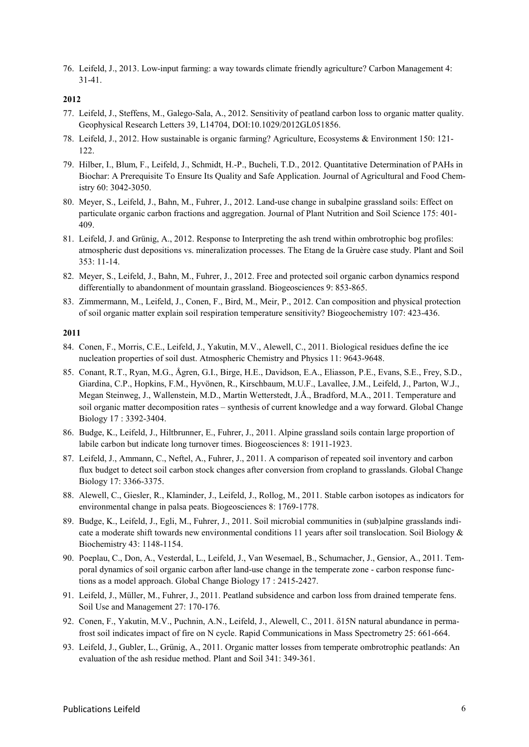76. Leifeld, J., 2013. Low-input farming: a way towards climate friendly agriculture? Carbon Management 4: 31-41.

### **2012**

- 77. Leifeld, J., Steffens, M., Galego-Sala, A., 2012. Sensitivity of peatland carbon loss to organic matter quality. Geophysical Research Letters 39, L14704, DOI:10.1029/2012GL051856.
- 78. Leifeld, J., 2012. How sustainable is organic farming? Agriculture, Ecosystems & Environment 150: 121- 122.
- 79. Hilber, I., Blum, F., Leifeld, J., Schmidt, H.-P., Bucheli, T.D., 2012. Quantitative Determination of PAHs in Biochar: A Prerequisite To Ensure Its Quality and Safe Application. Journal of Agricultural and Food Chemistry 60: 3042-3050.
- 80. Meyer, S., Leifeld, J., Bahn, M., Fuhrer, J., 2012. Land-use change in subalpine grassland soils: Effect on particulate organic carbon fractions and aggregation. Journal of Plant Nutrition and Soil Science 175: 401- 409.
- 81. Leifeld, J. and Grünig, A., 2012. Response to Interpreting the ash trend within ombrotrophic bog profiles: atmospheric dust depositions vs. mineralization processes. The Etang de la Gruère case study. Plant and Soil 353: 11-14.
- 82. Meyer, S., Leifeld, J., Bahn, M., Fuhrer, J., 2012. Free and protected soil organic carbon dynamics respond differentially to abandonment of mountain grassland. Biogeosciences 9: 853-865.
- 83. Zimmermann, M., Leifeld, J., Conen, F., Bird, M., Meir, P., 2012. Can composition and physical protection of soil organic matter explain soil respiration temperature sensitivity? Biogeochemistry 107: 423-436.

- 84. Conen, F., Morris, C.E., Leifeld, J., Yakutin, M.V., Alewell, C., 2011. Biological residues define the ice nucleation properties of soil dust. Atmospheric Chemistry and Physics 11: 9643-9648.
- 85. Conant, R.T., Ryan, M.G., Ågren, G.I., Birge, H.E., Davidson, E.A., Eliasson, P.E., Evans, S.E., Frey, S.D., Giardina, C.P., Hopkins, F.M., Hyvönen, R., Kirschbaum, M.U.F., Lavallee, J.M., Leifeld, J., Parton, W.J., Megan Steinweg, J., Wallenstein, M.D., Martin Wetterstedt, J.Å., Bradford, M.A., 2011. Temperature and soil organic matter decomposition rates – synthesis of current knowledge and a way forward. Global Change Biology 17 : 3392-3404.
- 86. Budge, K., Leifeld, J., Hiltbrunner, E., Fuhrer, J., 2011. Alpine grassland soils contain large proportion of labile carbon but indicate long turnover times. Biogeosciences 8: 1911-1923.
- 87. Leifeld, J., Ammann, C., Neftel, A., Fuhrer, J., 2011. A comparison of repeated soil inventory and carbon flux budget to detect soil carbon stock changes after conversion from cropland to grasslands. Global Change Biology 17: 3366-3375.
- 88. Alewell, C., Giesler, R., Klaminder, J., Leifeld, J., Rollog, M., 2011. Stable carbon isotopes as indicators for environmental change in palsa peats. Biogeosciences 8: 1769-1778.
- 89. Budge, K., Leifeld, J., Egli, M., Fuhrer, J., 2011. Soil microbial communities in (sub)alpine grasslands indicate a moderate shift towards new environmental conditions 11 years after soil translocation. Soil Biology & Biochemistry 43: 1148-1154.
- 90. Poeplau, C., Don, A., Vesterdal, L., Leifeld, J., Van Wesemael, B., Schumacher, J., Gensior, A., 2011. Temporal dynamics of soil organic carbon after land-use change in the temperate zone - carbon response functions as a model approach. Global Change Biology 17 : 2415-2427.
- 91. Leifeld, J., Müller, M., Fuhrer, J., 2011. Peatland subsidence and carbon loss from drained temperate fens. Soil Use and Management 27: 170-176.
- 92. Conen, F., Yakutin, M.V., Puchnin, A.N., Leifeld, J., Alewell, C., 2011. δ15N natural abundance in permafrost soil indicates impact of fire on N cycle. Rapid Communications in Mass Spectrometry 25: 661-664.
- 93. Leifeld, J., Gubler, L., Grünig, A., 2011. Organic matter losses from temperate ombrotrophic peatlands: An evaluation of the ash residue method. Plant and Soil 341: 349-361.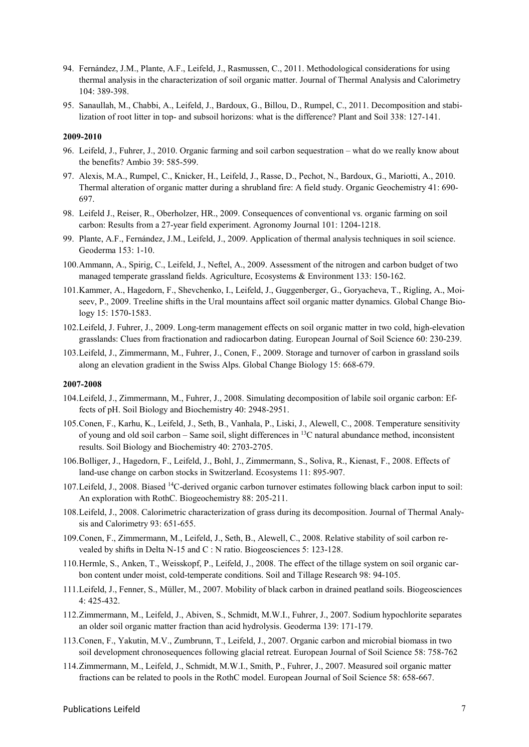- 94. Fernández, J.M., Plante, A.F., Leifeld, J., Rasmussen, C., 2011. Methodological considerations for using thermal analysis in the characterization of soil organic matter. Journal of Thermal Analysis and Calorimetry 104: 389-398.
- 95. Sanaullah, M., Chabbi, A., Leifeld, J., Bardoux, G., Billou, D., Rumpel, C., 2011. Decomposition and stabilization of root litter in top- and subsoil horizons: what is the difference? Plant and Soil 338: 127-141.

#### **2009-2010**

- 96. Leifeld, J., Fuhrer, J., 2010. Organic farming and soil carbon sequestration what do we really know about the benefits? Ambio 39: 585-599.
- 97. Alexis, M.A., Rumpel, C., Knicker, H., Leifeld, J., Rasse, D., Pechot, N., Bardoux, G., Mariotti, A., 2010. Thermal alteration of organic matter during a shrubland fire: A field study. Organic Geochemistry 41: 690- 697.
- 98. Leifeld J., Reiser, R., Oberholzer, HR., 2009. Consequences of conventional vs. organic farming on soil carbon: Results from a 27-year field experiment. Agronomy Journal 101: 1204-1218.
- 99. Plante, A.F., Fernández, J.M., Leifeld, J., 2009. Application of thermal analysis techniques in soil science. Geoderma 153: 1-10.
- 100.Ammann, A., Spirig, C., Leifeld, J., Neftel, A., 2009. Assessment of the nitrogen and carbon budget of two managed temperate grassland fields. Agriculture, Ecosystems & Environment 133: 150-162.
- 101.Kammer, A., Hagedorn, F., Shevchenko, I., Leifeld, J., Guggenberger, G., Goryacheva, T., Rigling, A., Moiseev, P., 2009. Treeline shifts in the Ural mountains affect soil organic matter dynamics. Global Change Biology 15: 1570-1583.
- 102.Leifeld, J. Fuhrer, J., 2009. Long-term management effects on soil organic matter in two cold, high-elevation grasslands: Clues from fractionation and radiocarbon dating. European Journal of Soil Science 60: 230-239.
- 103.Leifeld, J., Zimmermann, M., Fuhrer, J., Conen, F., 2009. Storage and turnover of carbon in grassland soils along an elevation gradient in the Swiss Alps. Global Change Biology 15: 668-679.

#### **2007-2008**

- 104.Leifeld, J., Zimmermann, M., Fuhrer, J., 2008. Simulating decomposition of labile soil organic carbon: Effects of pH. Soil Biology and Biochemistry 40: 2948-2951.
- 105.Conen, F., Karhu, K., Leifeld, J., Seth, B., Vanhala, P., Liski, J., Alewell, C., 2008. Temperature sensitivity of young and old soil carbon – Same soil, slight differences in  $^{13}$ C natural abundance method, inconsistent results. Soil Biology and Biochemistry 40: 2703-2705.
- 106.Bolliger, J., Hagedorn, F., Leifeld, J., Bohl, J., Zimmermann, S., Soliva, R., Kienast, F., 2008. Effects of land-use change on carbon stocks in Switzerland. Ecosystems 11: 895-907.
- 107.Leifeld, J., 2008. Biased 14C-derived organic carbon turnover estimates following black carbon input to soil: An exploration with RothC. Biogeochemistry 88: 205-211.
- 108.Leifeld, J., 2008. Calorimetric characterization of grass during its decomposition. Journal of Thermal Analysis and Calorimetry 93: 651-655.
- 109.Conen, F., Zimmermann, M., Leifeld, J., Seth, B., Alewell, C., 2008. Relative stability of soil carbon revealed by shifts in Delta N-15 and C : N ratio. Biogeosciences 5: 123-128.
- 110.Hermle, S., Anken, T., Weisskopf, P., Leifeld, J., 2008. The effect of the tillage system on soil organic carbon content under moist, cold-temperate conditions. Soil and Tillage Research 98: 94-105.
- 111.Leifeld, J., Fenner, S., Müller, M., 2007. Mobility of black carbon in drained peatland soils. Biogeosciences 4: 425-432.
- 112.Zimmermann, M., Leifeld, J., Abiven, S., Schmidt, M.W.I., Fuhrer, J., 2007. Sodium hypochlorite separates an older soil organic matter fraction than acid hydrolysis. Geoderma 139: 171-179.
- 113.Conen, F., Yakutin, M.V., Zumbrunn, T., Leifeld, J., 2007. Organic carbon and microbial biomass in two soil development chronosequences following glacial retreat. European Journal of Soil Science 58: 758-762
- 114.Zimmermann, M., Leifeld, J., Schmidt, M.W.I., Smith, P., Fuhrer, J., 2007. Measured soil organic matter fractions can be related to pools in the RothC model. European Journal of Soil Science 58: 658-667.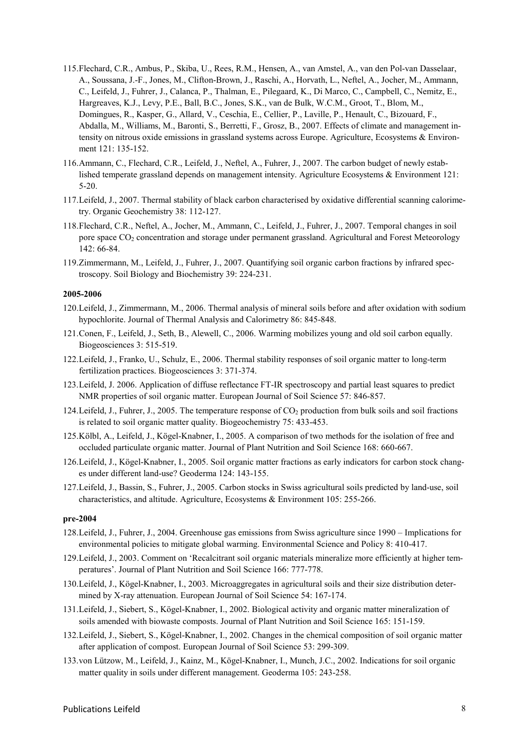- 115.Flechard, C.R., Ambus, P., Skiba, U., Rees, R.M., Hensen, A., van Amstel, A., van den Pol-van Dasselaar, A., Soussana, J.-F., Jones, M., Clifton-Brown, J., Raschi, A., Horvath, L., Neftel, A., Jocher, M., Ammann, C., Leifeld, J., Fuhrer, J., Calanca, P., Thalman, E., Pilegaard, K., Di Marco, C., Campbell, C., Nemitz, E., Hargreaves, K.J., Levy, P.E., Ball, B.C., Jones, S.K., van de Bulk, W.C.M., Groot, T., Blom, M., Domingues, R., Kasper, G., Allard, V., Ceschia, E., Cellier, P., Laville, P., Henault, C., Bizouard, F., Abdalla, M., Williams, M., Baronti, S., Berretti, F., Grosz, B., 2007. Effects of climate and management intensity on nitrous oxide emissions in grassland systems across Europe. Agriculture, Ecosystems & Environment 121: 135-152.
- 116.Ammann, C., Flechard, C.R., Leifeld, J., Neftel, A., Fuhrer, J., 2007. The carbon budget of newly established temperate grassland depends on management intensity. Agriculture Ecosystems & Environment 121: 5-20.
- 117.Leifeld, J., 2007. Thermal stability of black carbon characterised by oxidative differential scanning calorimetry. Organic Geochemistry 38: 112-127.
- 118.Flechard, C.R., Neftel, A., Jocher, M., Ammann, C., Leifeld, J., Fuhrer, J., 2007. Temporal changes in soil pore space CO<sub>2</sub> concentration and storage under permanent grassland. Agricultural and Forest Meteorology 142: 66-84.
- 119.Zimmermann, M., Leifeld, J., Fuhrer, J., 2007. Quantifying soil organic carbon fractions by infrared spectroscopy. Soil Biology and Biochemistry 39: 224-231.

#### **2005-2006**

- 120.Leifeld, J., Zimmermann, M., 2006. Thermal analysis of mineral soils before and after oxidation with sodium hypochlorite. Journal of Thermal Analysis and Calorimetry 86: 845-848.
- 121.Conen, F., Leifeld, J., Seth, B., Alewell, C., 2006. Warming mobilizes young and old soil carbon equally. Biogeosciences 3: 515-519.
- 122.Leifeld, J., Franko, U., Schulz, E., 2006. Thermal stability responses of soil organic matter to long-term fertilization practices. Biogeosciences 3: 371-374.
- 123.Leifeld, J. 2006. Application of diffuse reflectance FT-IR spectroscopy and partial least squares to predict NMR properties of soil organic matter. European Journal of Soil Science 57: 846-857.
- 124. Leifeld, J., Fuhrer, J., 2005. The temperature response of  $CO<sub>2</sub>$  production from bulk soils and soil fractions is related to soil organic matter quality. Biogeochemistry 75: 433-453.
- 125.Kölbl, A., Leifeld, J., Kögel-Knabner, I., 2005. A comparison of two methods for the isolation of free and occluded particulate organic matter. Journal of Plant Nutrition and Soil Science 168: 660-667.
- 126.Leifeld, J., Kögel-Knabner, I., 2005. Soil organic matter fractions as early indicators for carbon stock changes under different land-use? Geoderma 124: 143-155.
- 127.Leifeld, J., Bassin, S., Fuhrer, J., 2005. Carbon stocks in Swiss agricultural soils predicted by land-use, soil characteristics, and altitude. Agriculture, Ecosystems & Environment 105: 255-266.

### **pre-2004**

- 128.Leifeld, J., Fuhrer, J., 2004. Greenhouse gas emissions from Swiss agriculture since 1990 Implications for environmental policies to mitigate global warming. Environmental Science and Policy 8: 410-417.
- 129.Leifeld, J., 2003. Comment on 'Recalcitrant soil organic materials mineralize more efficiently at higher temperatures'. Journal of Plant Nutrition and Soil Science 166: 777-778.
- 130.Leifeld, J., Kögel-Knabner, I., 2003. Microaggregates in agricultural soils and their size distribution determined by X-ray attenuation. European Journal of Soil Science 54: 167-174.
- 131.Leifeld, J., Siebert, S., Kögel-Knabner, I., 2002. Biological activity and organic matter mineralization of soils amended with biowaste composts. Journal of Plant Nutrition and Soil Science 165: 151-159.
- 132.Leifeld, J., Siebert, S., Kögel-Knabner, I., 2002. Changes in the chemical composition of soil organic matter after application of compost. European Journal of Soil Science 53: 299-309.
- 133.von Lützow, M., Leifeld, J., Kainz, M., Kögel-Knabner, I., Munch, J.C., 2002. Indications for soil organic matter quality in soils under different management. Geoderma 105: 243-258.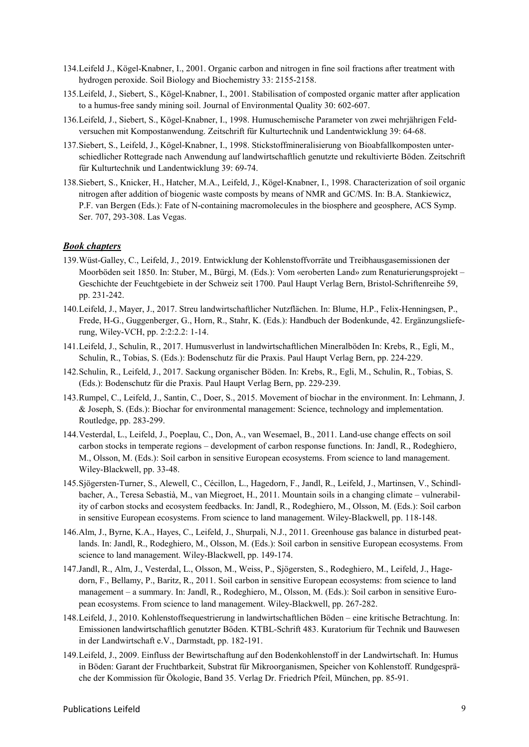- 134.Leifeld J., Kögel-Knabner, I., 2001. Organic carbon and nitrogen in fine soil fractions after treatment with hydrogen peroxide. Soil Biology and Biochemistry 33: 2155-2158.
- 135.Leifeld, J., Siebert, S., Kögel-Knabner, I., 2001. Stabilisation of composted organic matter after application to a humus-free sandy mining soil. Journal of Environmental Quality 30: 602-607.
- 136.Leifeld, J., Siebert, S., Kögel-Knabner, I., 1998. Humuschemische Parameter von zwei mehrjährigen Feldversuchen mit Kompostanwendung. Zeitschrift für Kulturtechnik und Landentwicklung 39: 64-68.
- 137.Siebert, S., Leifeld, J., Kögel-Knabner, I., 1998. Stickstoffmineralisierung von Bioabfallkomposten unterschiedlicher Rottegrade nach Anwendung auf landwirtschaftlich genutzte und rekultivierte Böden. Zeitschrift für Kulturtechnik und Landentwicklung 39: 69-74.
- 138.Siebert, S., Knicker, H., Hatcher, M.A., Leifeld, J., Kögel-Knabner, I., 1998. Characterization of soil organic nitrogen after addition of biogenic waste composts by means of NMR and GC/MS. In: B.A. Stankiewicz, P.F. van Bergen (Eds.): Fate of N-containing macromolecules in the biosphere and geosphere, ACS Symp. Ser. 707, 293-308. Las Vegas.

# *Book chapters*

- 139.Wüst-Galley, C., Leifeld, J., 2019. Entwicklung der Kohlenstoffvorräte und Treibhausgasemissionen der Moorböden seit 1850. In: Stuber, M., Bürgi, M. (Eds.): Vom «eroberten Land» zum Renaturierungsprojekt – Geschichte der Feuchtgebiete in der Schweiz seit 1700. Paul Haupt Verlag Bern, Bristol-Schriftenreihe 59, pp. 231-242.
- 140.Leifeld, J., Mayer, J., 2017. Streu landwirtschaftlicher Nutzflächen. In: Blume, H.P., Felix-Henningsen, P., Frede, H-G., Guggenberger, G., Horn, R., Stahr, K. (Eds.): Handbuch der Bodenkunde, 42. Ergänzungslieferung, Wiley-VCH, pp. 2:2:2.2: 1-14.
- 141.Leifeld, J., Schulin, R., 2017. Humusverlust in landwirtschaftlichen Mineralböden In: Krebs, R., Egli, M., Schulin, R., Tobias, S. (Eds.): Bodenschutz für die Praxis. Paul Haupt Verlag Bern, pp. 224-229.
- 142.Schulin, R., Leifeld, J., 2017. Sackung organischer Böden. In: Krebs, R., Egli, M., Schulin, R., Tobias, S. (Eds.): Bodenschutz für die Praxis. Paul Haupt Verlag Bern, pp. 229-239.
- 143.Rumpel, C., Leifeld, J., Santin, C., Doer, S., 2015. Movement of biochar in the environment. In: Lehmann, J. & Joseph, S. (Eds.): Biochar for environmental management: Science, technology and implementation. Routledge, pp. 283-299.
- 144.Vesterdal, L., Leifeld, J., Poeplau, C., Don, A., van Wesemael, B., 2011. Land-use change effects on soil carbon stocks in temperate regions – development of carbon response functions. In: Jandl, R., Rodeghiero, M., Olsson, M. (Eds.): Soil carbon in sensitive European ecosystems. From science to land management. Wiley-Blackwell, pp. 33-48.
- 145.Sjögersten-Turner, S., Alewell, C., Cécillon, L., Hagedorn, F., Jandl, R., Leifeld, J., Martinsen, V., Schindlbacher, A., Teresa Sebastià, M., van Miegroet, H., 2011. Mountain soils in a changing climate – vulnerability of carbon stocks and ecosystem feedbacks. In: Jandl, R., Rodeghiero, M., Olsson, M. (Eds.): Soil carbon in sensitive European ecosystems. From science to land management. Wiley-Blackwell, pp. 118-148.
- 146.Alm, J., Byrne, K.A., Hayes, C., Leifeld, J., Shurpali, N.J., 2011. Greenhouse gas balance in disturbed peatlands. In: Jandl, R., Rodeghiero, M., Olsson, M. (Eds.): Soil carbon in sensitive European ecosystems. From science to land management. Wiley-Blackwell, pp. 149-174.
- 147.Jandl, R., Alm, J., Vesterdal, L., Olsson, M., Weiss, P., Sjögersten, S., Rodeghiero, M., Leifeld, J., Hagedorn, F., Bellamy, P., Baritz, R., 2011. Soil carbon in sensitive European ecosystems: from science to land management – a summary. In: Jandl, R., Rodeghiero, M., Olsson, M. (Eds.): Soil carbon in sensitive European ecosystems. From science to land management. Wiley-Blackwell, pp. 267-282.
- 148.Leifeld, J., 2010. Kohlenstoffsequestrierung in landwirtschaftlichen Böden eine kritische Betrachtung. In: Emissionen landwirtschaftlich genutzter Böden. KTBL-Schrift 483. Kuratorium für Technik und Bauwesen in der Landwirtschaft e.V., Darmstadt, pp. 182-191.
- 149.Leifeld, J., 2009. Einfluss der Bewirtschaftung auf den Bodenkohlenstoff in der Landwirtschaft. In: Humus in Böden: Garant der Fruchtbarkeit, Substrat für Mikroorganismen, Speicher von Kohlenstoff. Rundgespräche der Kommission für Ökologie, Band 35. Verlag Dr. Friedrich Pfeil, München, pp. 85-91.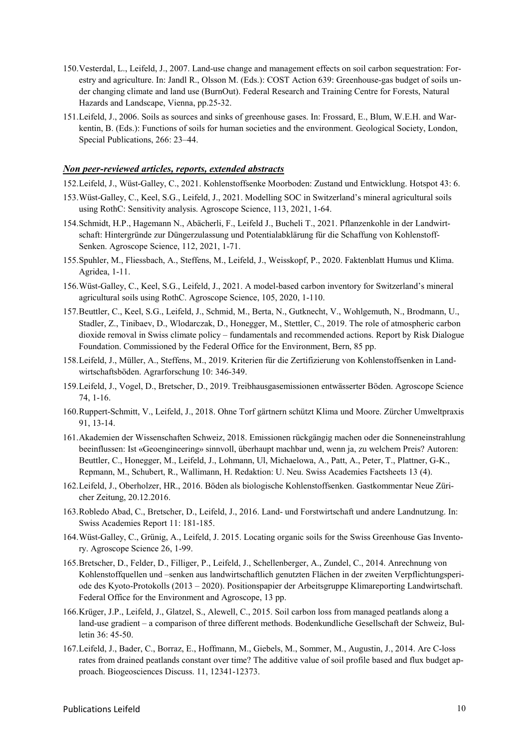- 150.Vesterdal, L., Leifeld, J., 2007. Land-use change and management effects on soil carbon sequestration: Forestry and agriculture. In: Jandl R., Olsson M. (Eds.): COST Action 639: Greenhouse-gas budget of soils under changing climate and land use (BurnOut). Federal Research and Training Centre for Forests, Natural Hazards and Landscape, Vienna, pp.25-32.
- 151.Leifeld, J., 2006. Soils as sources and sinks of greenhouse gases. In: Frossard, E., Blum, W.E.H. and Warkentin, B. (Eds.): Functions of soils for human societies and the environment. Geological Society, London, Special Publications, 266: 23–44.

#### *Non peer-reviewed articles, reports, extended abstracts*

152.Leifeld, J., Wüst-Galley, C., 2021. Kohlenstoffsenke Moorboden: Zustand und Entwicklung. Hotspot 43: 6.

- 153.Wüst-Galley, C., Keel, S.G., Leifeld, J., 2021. Modelling SOC in Switzerland's mineral agricultural soils using RothC: Sensitivity analysis. Agroscope Science, 113, 2021, 1-64.
- 154.Schmidt, H.P., Hagemann N., Abächerli, F., Leifeld J., Bucheli T., 2021. Pflanzenkohle in der Landwirtschaft: Hintergründe zur Düngerzulassung und Potentialabklärung für die Schaffung von Kohlenstoff-Senken. Agroscope Science, 112, 2021, 1-71.
- 155.Spuhler, M., Fliessbach, A., Steffens, M., Leifeld, J., Weisskopf, P., 2020. Faktenblatt Humus und Klima. Agridea, 1-11.
- 156.Wüst-Galley, C., Keel, S.G., Leifeld, J., 2021. A model-based carbon inventory for Switzerland's mineral agricultural soils using RothC. Agroscope Science, 105, 2020, 1-110.
- 157.Beuttler, C., Keel, S.G., Leifeld, J., Schmid, M., Berta, N., Gutknecht, V., Wohlgemuth, N., Brodmann, U., Stadler, Z., Tinibaev, D., Wlodarczak, D., Honegger, M., Stettler, C., 2019. The role of atmospheric carbon dioxide removal in Swiss climate policy – fundamentals and recommended actions. Report by Risk Dialogue Foundation. Commissioned by the Federal Office for the Environment, Bern, 85 pp.
- 158.Leifeld, J., Müller, A., Steffens, M., 2019. Kriterien für die Zertifizierung von Kohlenstoffsenken in Landwirtschaftsböden. Agrarforschung 10: 346-349.
- 159.Leifeld, J., Vogel, D., Bretscher, D., 2019. Treibhausgasemissionen entwässerter Böden. Agroscope Science 74, 1-16.
- 160.Ruppert-Schmitt, V., Leifeld, J., 2018. Ohne Torf gärtnern schützt Klima und Moore. Zürcher Umweltpraxis 91, 13-14.
- 161.Akademien der Wissenschaften Schweiz, 2018. Emissionen rückgängig machen oder die Sonneneinstrahlung beeinflussen: Ist «Geoengineering» sinnvoll, überhaupt machbar und, wenn ja, zu welchem Preis? Autoren: Beuttler, C., Honegger, M., Leifeld, J., Lohmann, Ul, Michaelowa, A., Patt, A., Peter, T., Plattner, G-K., Repmann, M., Schubert, R., Wallimann, H. Redaktion: U. Neu. Swiss Academies Factsheets 13 (4).
- 162.Leifeld, J., Oberholzer, HR., 2016. Böden als biologische Kohlenstoffsenken. Gastkommentar Neue Züricher Zeitung, 20.12.2016.
- 163.Robledo Abad, C., Bretscher, D., Leifeld, J., 2016. Land- und Forstwirtschaft und andere Landnutzung. In: Swiss Academies Report 11: 181-185.
- 164.Wüst-Galley, C., Grünig, A., Leifeld, J. 2015. Locating organic soils for the Swiss Greenhouse Gas Inventory. Agroscope Science 26, 1-99.
- 165.Bretscher, D., Felder, D., Filliger, P., Leifeld, J., Schellenberger, A., Zundel, C., 2014. Anrechnung von Kohlenstoffquellen und –senken aus landwirtschaftlich genutzten Flächen in der zweiten Verpflichtungsperiode des Kyoto-Protokolls (2013 – 2020). Positionspapier der Arbeitsgruppe Klimareporting Landwirtschaft. Federal Office for the Environment and Agroscope, 13 pp.
- 166.Krüger, J.P., Leifeld, J., Glatzel, S., Alewell, C., 2015. Soil carbon loss from managed peatlands along a land-use gradient – a comparison of three different methods. Bodenkundliche Gesellschaft der Schweiz, Bulletin 36: 45-50.
- 167.Leifeld, J., Bader, C., Borraz, E., Hoffmann, M., Giebels, M., Sommer, M., Augustin, J., 2014. Are C-loss rates from drained peatlands constant over time? The additive value of soil profile based and flux budget approach. Biogeosciences Discuss. 11, 12341-12373.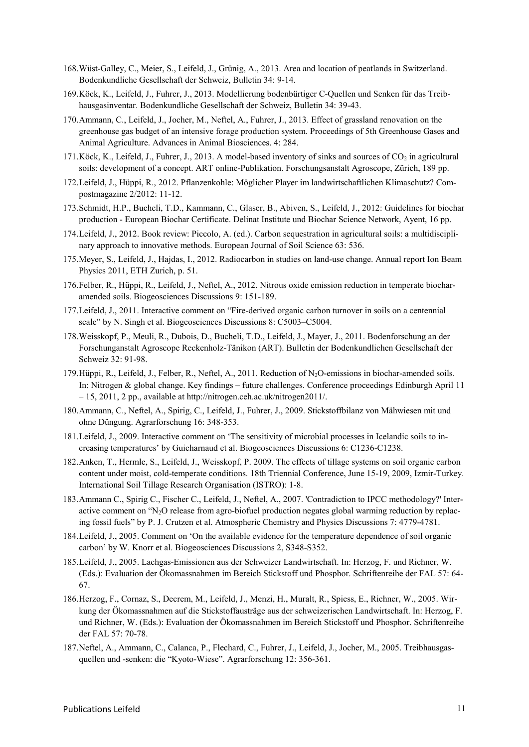- 168.Wüst-Galley, C., Meier, S., Leifeld, J., Grünig, A., 2013. Area and location of peatlands in Switzerland. Bodenkundliche Gesellschaft der Schweiz, Bulletin 34: 9-14.
- 169.Köck, K., Leifeld, J., Fuhrer, J., 2013. Modellierung bodenbürtiger C-Quellen und Senken für das Treibhausgasinventar. Bodenkundliche Gesellschaft der Schweiz, Bulletin 34: 39-43.
- 170.Ammann, C., Leifeld, J., Jocher, M., Neftel, A., Fuhrer, J., 2013. Effect of grassland renovation on the greenhouse gas budget of an intensive forage production system. Proceedings of 5th Greenhouse Gases and Animal Agriculture. Advances in Animal Biosciences. 4: 284.
- 171. Köck, K., Leifeld, J., Fuhrer, J., 2013. A model-based inventory of sinks and sources of  $CO<sub>2</sub>$  in agricultural soils: development of a concept. ART online-Publikation. Forschungsanstalt Agroscope, Zürich, 189 pp.
- 172.Leifeld, J., Hüppi, R., 2012. Pflanzenkohle: Möglicher Player im landwirtschaftlichen Klimaschutz? Compostmagazine 2/2012: 11-12.
- 173.Schmidt, H.P., Bucheli, T.D., Kammann, C., Glaser, B., Abiven, S., Leifeld, J., 2012: Guidelines for biochar production - European Biochar Certificate. Delinat Institute und Biochar Science Network, Ayent, 16 pp.
- 174.Leifeld, J., 2012. Book review: Piccolo, A. (ed.). Carbon sequestration in agricultural soils: a multidisciplinary approach to innovative methods. European Journal of Soil Science 63: 536.
- 175.Meyer, S., Leifeld, J., Hajdas, I., 2012. Radiocarbon in studies on land-use change. Annual report Ion Beam Physics 2011, ETH Zurich, p. 51.
- 176.Felber, R., Hüppi, R., Leifeld, J., Neftel, A., 2012. Nitrous oxide emission reduction in temperate biocharamended soils. Biogeosciences Discussions 9: 151-189.
- 177.Leifeld, J., 2011. Interactive comment on "Fire-derived organic carbon turnover in soils on a centennial scale" by N. Singh et al. Biogeosciences Discussions 8: C5003–C5004.
- 178.Weisskopf, P., Meuli, R., Dubois, D., Bucheli, T.D., Leifeld, J., Mayer, J., 2011. Bodenforschung an der Forschunganstalt Agroscope Reckenholz-Tänikon (ART). Bulletin der Bodenkundlichen Gesellschaft der Schweiz 32: 91-98.
- 179. Hüppi, R., Leifeld, J., Felber, R., Neftel, A., 2011. Reduction of N<sub>2</sub>O-emissions in biochar-amended soils. In: Nitrogen & global change. Key findings – future challenges. Conference proceedings Edinburgh April 11 – 15, 2011, 2 pp., available at http://nitrogen.ceh.ac.uk/nitrogen2011/.
- 180.Ammann, C., Neftel, A., Spirig, C., Leifeld, J., Fuhrer, J., 2009. Stickstoffbilanz von Mähwiesen mit und ohne Düngung. Agrarforschung 16: 348-353.
- 181.Leifeld, J., 2009. Interactive comment on 'The sensitivity of microbial processes in Icelandic soils to increasing temperatures' by Guicharnaud et al. Biogeosciences Discussions 6: C1236-C1238.
- 182.Anken, T., Hermle, S., Leifeld, J., Weisskopf, P. 2009. The effects of tillage systems on soil organic carbon content under moist, cold-temperate conditions. 18th Triennial Conference, June 15-19, 2009, Izmir-Turkey. International Soil Tillage Research Organisation (ISTRO): 1-8.
- 183.Ammann C., Spirig C., Fischer C., Leifeld, J., Neftel, A., 2007. 'Contradiction to IPCC methodology?' Interactive comment on "N<sub>2</sub>O release from agro-biofuel production negates global warming reduction by replacing fossil fuels" by P. J. Crutzen et al. Atmospheric Chemistry and Physics Discussions 7: 4779-4781.
- 184.Leifeld, J., 2005. Comment on 'On the available evidence for the temperature dependence of soil organic carbon' by W. Knorr et al. Biogeosciences Discussions 2, S348-S352.
- 185.Leifeld, J., 2005. Lachgas-Emissionen aus der Schweizer Landwirtschaft. In: Herzog, F. und Richner, W. (Eds.): Evaluation der Ökomassnahmen im Bereich Stickstoff und Phosphor. Schriftenreihe der FAL 57: 64- 67.
- 186.Herzog, F., Cornaz, S., Decrem, M., Leifeld, J., Menzi, H., Muralt, R., Spiess, E., Richner, W., 2005. Wirkung der Ökomassnahmen auf die Stickstoffausträge aus der schweizerischen Landwirtschaft. In: Herzog, F. und Richner, W. (Eds.): Evaluation der Ökomassnahmen im Bereich Stickstoff und Phosphor. Schriftenreihe der FAL 57: 70-78.
- 187.Neftel, A., Ammann, C., Calanca, P., Flechard, C., Fuhrer, J., Leifeld, J., Jocher, M., 2005. Treibhausgasquellen und -senken: die "Kyoto-Wiese". Agrarforschung 12: 356-361.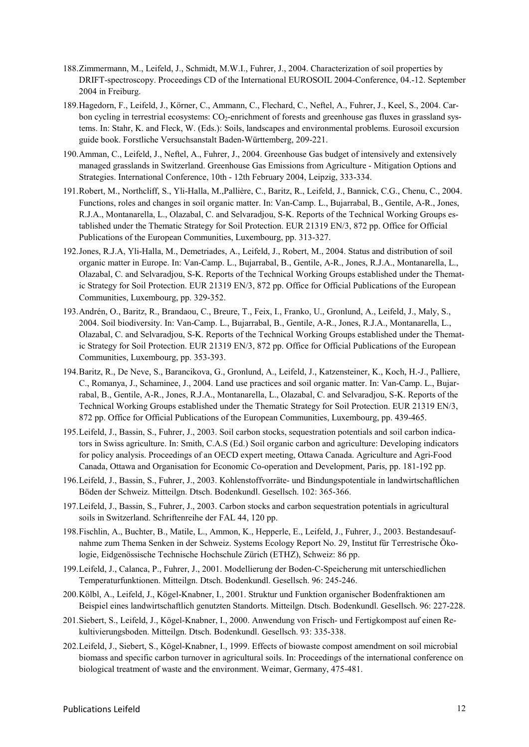- 188.Zimmermann, M., Leifeld, J., Schmidt, M.W.I., Fuhrer, J., 2004. Characterization of soil properties by DRIFT-spectroscopy. Proceedings CD of the International EUROSOIL 2004-Conference, 04.-12. September 2004 in Freiburg.
- 189.Hagedorn, F., Leifeld, J., Körner, C., Ammann, C., Flechard, C., Neftel, A., Fuhrer, J., Keel, S., 2004. Carbon cycling in terrestrial ecosystems: CO2-enrichment of forests and greenhouse gas fluxes in grassland systems. In: Stahr, K. and Fleck, W. (Eds.): Soils, landscapes and environmental problems. Eurosoil excursion guide book. Forstliche Versuchsanstalt Baden-Württemberg, 209-221.
- 190.Amman, C., Leifeld, J., Neftel, A., Fuhrer, J., 2004. Greenhouse Gas budget of intensively and extensively managed grasslands in Switzerland. Greenhouse Gas Emissions from Agriculture - Mitigation Options and Strategies. International Conference, 10th - 12th February 2004, Leipzig, 333-334.
- 191.Robert, M., Northcliff, S., Yli-Halla, M.,Pallière, C., Baritz, R., Leifeld, J., Bannick, C.G., Chenu, C., 2004. Functions, roles and changes in soil organic matter. In: Van-Camp. L., Bujarrabal, B., Gentile, A-R., Jones, R.J.A., Montanarella, L., Olazabal, C. and Selvaradjou, S-K. Reports of the Technical Working Groups established under the Thematic Strategy for Soil Protection. EUR 21319 EN/3, 872 pp. Office for Official Publications of the European Communities, Luxembourg, pp. 313-327.
- 192.Jones, R.J.A, Yli-Halla, M., Demetriades, A., Leifeld, J., Robert, M., 2004. Status and distribution of soil organic matter in Europe. In: Van-Camp. L., Bujarrabal, B., Gentile, A-R., Jones, R.J.A., Montanarella, L., Olazabal, C. and Selvaradjou, S-K. Reports of the Technical Working Groups established under the Thematic Strategy for Soil Protection. EUR 21319 EN/3, 872 pp. Office for Official Publications of the European Communities, Luxembourg, pp. 329-352.
- 193.Andrén, O., Baritz, R., Brandaou, C., Breure, T., Feix, I., Franko, U., Gronlund, A., Leifeld, J., Maly, S., 2004. Soil biodiversity. In: Van-Camp. L., Bujarrabal, B., Gentile, A-R., Jones, R.J.A., Montanarella, L., Olazabal, C. and Selvaradjou, S-K. Reports of the Technical Working Groups established under the Thematic Strategy for Soil Protection. EUR 21319 EN/3, 872 pp. Office for Official Publications of the European Communities, Luxembourg, pp. 353-393.
- 194.Baritz, R., De Neve, S., Barancikova, G., Gronlund, A., Leifeld, J., Katzensteiner, K., Koch, H.-J., Palliere, C., Romanya, J., Schaminee, J., 2004. Land use practices and soil organic matter. In: Van-Camp. L., Bujarrabal, B., Gentile, A-R., Jones, R.J.A., Montanarella, L., Olazabal, C. and Selvaradjou, S-K. Reports of the Technical Working Groups established under the Thematic Strategy for Soil Protection. EUR 21319 EN/3, 872 pp. Office for Official Publications of the European Communities, Luxembourg, pp. 439-465.
- 195.Leifeld, J., Bassin, S., Fuhrer, J., 2003. Soil carbon stocks, sequestration potentials and soil carbon indicators in Swiss agriculture. In: Smith, C.A.S (Ed.) Soil organic carbon and agriculture: Developing indicators for policy analysis. Proceedings of an OECD expert meeting, Ottawa Canada. Agriculture and Agri-Food Canada, Ottawa and Organisation for Economic Co-operation and Development, Paris, pp. 181-192 pp.
- 196.Leifeld, J., Bassin, S., Fuhrer, J., 2003. Kohlenstoffvorräte- und Bindungspotentiale in landwirtschaftlichen Böden der Schweiz. Mitteilgn. Dtsch. Bodenkundl. Gesellsch. 102: 365-366.
- 197.Leifeld, J., Bassin, S., Fuhrer, J., 2003. Carbon stocks and carbon sequestration potentials in agricultural soils in Switzerland. Schriftenreihe der FAL 44, 120 pp.
- 198.Fischlin, A., Buchter, B., Matile, L., Ammon, K., Hepperle, E., Leifeld, J., Fuhrer, J., 2003. Bestandesaufnahme zum Thema Senken in der Schweiz. Systems Ecology Report No. 29, Institut für Terrestrische Ökologie, Eidgenössische Technische Hochschule Zürich (ETHZ), Schweiz: 86 pp.
- 199.Leifeld, J., Calanca, P., Fuhrer, J., 2001. Modellierung der Boden-C-Speicherung mit unterschiedlichen Temperaturfunktionen. Mitteilgn. Dtsch. Bodenkundl. Gesellsch. 96: 245-246.
- 200.Kölbl, A., Leifeld, J., Kögel-Knabner, I., 2001. Struktur und Funktion organischer Bodenfraktionen am Beispiel eines landwirtschaftlich genutzten Standorts. Mitteilgn. Dtsch. Bodenkundl. Gesellsch. 96: 227-228.
- 201.Siebert, S., Leifeld, J., Kögel-Knabner, I., 2000. Anwendung von Frisch- und Fertigkompost auf einen Rekultivierungsboden. Mitteilgn. Dtsch. Bodenkundl. Gesellsch. 93: 335-338.
- 202.Leifeld, J., Siebert, S., Kögel-Knabner, I., 1999. Effects of biowaste compost amendment on soil microbial biomass and specific carbon turnover in agricultural soils. In: Proceedings of the international conference on biological treatment of waste and the environment. Weimar, Germany, 475-481.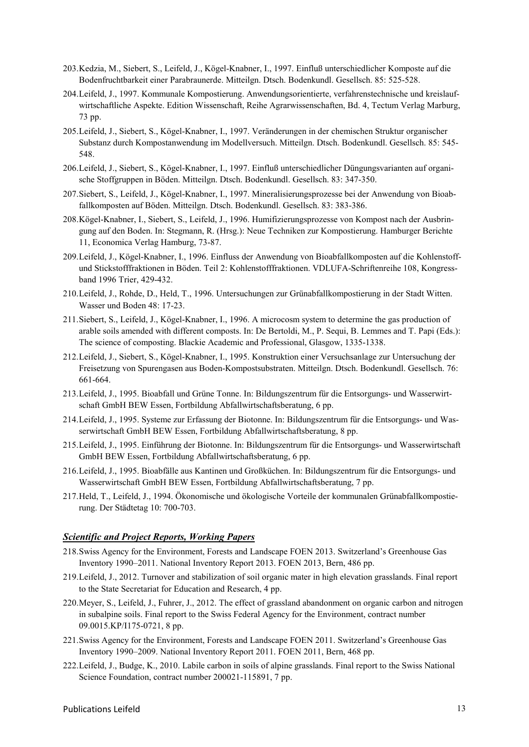- 203.Kedzia, M., Siebert, S., Leifeld, J., Kögel-Knabner, I., 1997. Einfluß unterschiedlicher Komposte auf die Bodenfruchtbarkeit einer Parabraunerde. Mitteilgn. Dtsch. Bodenkundl. Gesellsch. 85: 525-528.
- 204.Leifeld, J., 1997. Kommunale Kompostierung. Anwendungsorientierte, verfahrenstechnische und kreislaufwirtschaftliche Aspekte. Edition Wissenschaft, Reihe Agrarwissenschaften, Bd. 4, Tectum Verlag Marburg, 73 pp.
- 205.Leifeld, J., Siebert, S., Kögel-Knabner, I., 1997. Veränderungen in der chemischen Struktur organischer Substanz durch Kompostanwendung im Modellversuch. Mitteilgn. Dtsch. Bodenkundl. Gesellsch. 85: 545- 548.
- 206.Leifeld, J., Siebert, S., Kögel-Knabner, I., 1997. Einfluß unterschiedlicher Düngungsvarianten auf organische Stoffgruppen in Böden. Mitteilgn. Dtsch. Bodenkundl. Gesellsch. 83: 347-350.
- 207.Siebert, S., Leifeld, J., Kögel-Knabner, I., 1997. Mineralisierungsprozesse bei der Anwendung von Bioabfallkomposten auf Böden. Mitteilgn. Dtsch. Bodenkundl. Gesellsch. 83: 383-386.
- 208.Kögel-Knabner, I., Siebert, S., Leifeld, J., 1996. Humifizierungsprozesse von Kompost nach der Ausbringung auf den Boden. In: Stegmann, R. (Hrsg.): Neue Techniken zur Kompostierung. Hamburger Berichte 11, Economica Verlag Hamburg, 73-87.
- 209.Leifeld, J., Kögel-Knabner, I., 1996. Einfluss der Anwendung von Bioabfallkomposten auf die Kohlenstoffund Stickstofffraktionen in Böden. Teil 2: Kohlenstofffraktionen. VDLUFA-Schriftenreihe 108, Kongressband 1996 Trier, 429-432.
- 210.Leifeld, J., Rohde, D., Held, T., 1996. Untersuchungen zur Grünabfallkompostierung in der Stadt Witten. Wasser und Boden 48: 17-23.
- 211.Siebert, S., Leifeld, J., Kögel-Knabner, I., 1996. A microcosm system to determine the gas production of arable soils amended with different composts. In: De Bertoldi, M., P. Sequi, B. Lemmes and T. Papi (Eds.): The science of composting. Blackie Academic and Professional, Glasgow, 1335-1338.
- 212.Leifeld, J., Siebert, S., Kögel-Knabner, I., 1995. Konstruktion einer Versuchsanlage zur Untersuchung der Freisetzung von Spurengasen aus Boden-Kompostsubstraten. Mitteilgn. Dtsch. Bodenkundl. Gesellsch. 76: 661-664.
- 213.Leifeld, J., 1995. Bioabfall und Grüne Tonne. In: Bildungszentrum für die Entsorgungs- und Wasserwirtschaft GmbH BEW Essen, Fortbildung Abfallwirtschaftsberatung, 6 pp.
- 214.Leifeld, J., 1995. Systeme zur Erfassung der Biotonne. In: Bildungszentrum für die Entsorgungs- und Wasserwirtschaft GmbH BEW Essen, Fortbildung Abfallwirtschaftsberatung, 8 pp.
- 215.Leifeld, J., 1995. Einführung der Biotonne. In: Bildungszentrum für die Entsorgungs- und Wasserwirtschaft GmbH BEW Essen, Fortbildung Abfallwirtschaftsberatung, 6 pp.
- 216.Leifeld, J., 1995. Bioabfälle aus Kantinen und Großküchen. In: Bildungszentrum für die Entsorgungs- und Wasserwirtschaft GmbH BEW Essen, Fortbildung Abfallwirtschaftsberatung, 7 pp.
- 217.Held, T., Leifeld, J., 1994. Ökonomische und ökologische Vorteile der kommunalen Grünabfallkompostierung. Der Städtetag 10: 700-703.

### *Scientific and Project Reports, Working Papers*

- 218.Swiss Agency for the Environment, Forests and Landscape FOEN 2013. Switzerland's Greenhouse Gas Inventory 1990–2011. National Inventory Report 2013. FOEN 2013, Bern, 486 pp.
- 219.Leifeld, J., 2012. Turnover and stabilization of soil organic mater in high elevation grasslands. Final report to the State Secretariat for Education and Research, 4 pp.
- 220.Meyer, S., Leifeld, J., Fuhrer, J., 2012. The effect of grassland abandonment on organic carbon and nitrogen in subalpine soils. Final report to the Swiss Federal Agency for the Environment, contract number 09.0015.KP/I175-0721, 8 pp.
- 221.Swiss Agency for the Environment, Forests and Landscape FOEN 2011. Switzerland's Greenhouse Gas Inventory 1990–2009. National Inventory Report 2011. FOEN 2011, Bern, 468 pp.
- 222.Leifeld, J., Budge, K., 2010. Labile carbon in soils of alpine grasslands. Final report to the Swiss National Science Foundation, contract number 200021-115891, 7 pp.